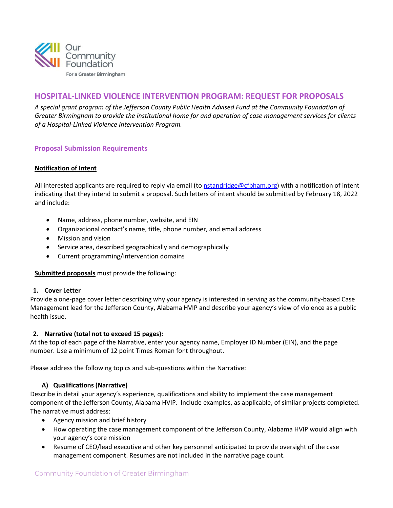

# **HOSPITAL-LINKED VIOLENCE INTERVENTION PROGRAM: REQUEST FOR PROPOSALS**

*A special grant program of the Jefferson County Public Health Advised Fund at the Community Foundation of Greater Birmingham to provide the institutional home for and operation of case management services for clients of a Hospital-Linked Violence Intervention Program.*

### **Proposal Submission Requirements**

### **Notification of Intent**

All interested applicants are required to reply via email (to [nstandridge@cfbham.org\)](mailto:nstandridge@cfbham.org) with a notification of intent indicating that they intend to submit a proposal. Such letters of intent should be submitted by February 18, 2022 and include:

- Name, address, phone number, website, and EIN
- Organizational contact's name, title, phone number, and email address
- Mission and vision
- Service area, described geographically and demographically
- Current programming/intervention domains

**Submitted proposals** must provide the following:

### **1. Cover Letter**

Provide a one-page cover letter describing why your agency is interested in serving as the community-based Case Management lead for the Jefferson County, Alabama HVIP and describe your agency's view of violence as a public health issue.

### **2. Narrative (total not to exceed 15 pages):**

At the top of each page of the Narrative, enter your agency name, Employer ID Number (EIN), and the page number. Use a minimum of 12 point Times Roman font throughout.

Please address the following topics and sub-questions within the Narrative:

### **A) Qualifications (Narrative)**

Describe in detail your agency's experience, qualifications and ability to implement the case management component of the Jefferson County, Alabama HVIP. Include examples, as applicable, of similar projects completed. The narrative must address:

- Agency mission and brief history
- How operating the case management component of the Jefferson County, Alabama HVIP would align with your agency's core mission
- Resume of CEO/lead executive and other key personnel anticipated to provide oversight of the case management component. Resumes are not included in the narrative page count.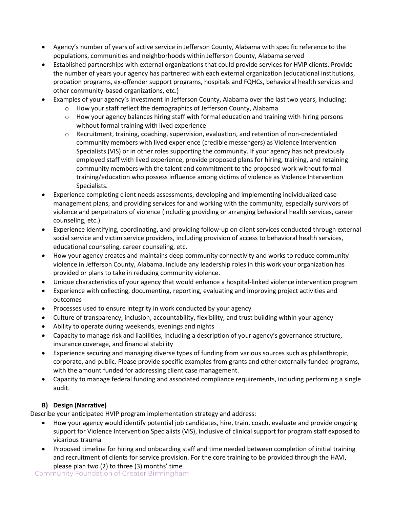- Agency's number of years of active service in Jefferson County, Alabama with specific reference to the populations, communities and neighborhoods within Jefferson County, Alabama served
- Established partnerships with external organizations that could provide services for HVIP clients. Provide the number of years your agency has partnered with each external organization (educational institutions, probation programs, ex-offender support programs, hospitals and FQHCs, behavioral health services and other community-based organizations, etc.)
- Examples of your agency's investment in Jefferson County, Alabama over the last two years, including:
	- o How your staff reflect the demographics of Jefferson County, Alabama
	- $\circ$  How your agency balances hiring staff with formal education and training with hiring persons without formal training with lived experience
	- o Recruitment, training, coaching, supervision, evaluation, and retention of non-credentialed community members with lived experience (credible messengers) as Violence Intervention Specialists (VIS) or in other roles supporting the community. If your agency has not previously employed staff with lived experience, provide proposed plans for hiring, training, and retaining community members with the talent and commitment to the proposed work without formal training/education who possess influence among victims of violence as Violence Intervention Specialists.
- Experience completing client needs assessments, developing and implementing individualized case management plans, and providing services for and working with the community, especially survivors of violence and perpetrators of violence (including providing or arranging behavioral health services, career counseling, etc.)
- Experience identifying, coordinating, and providing follow-up on client services conducted through external social service and victim service providers, including provision of access to behavioral health services, educational counseling, career counseling, etc.
- How your agency creates and maintains deep community connectivity and works to reduce community violence in Jefferson County, Alabama. Include any leadership roles in this work your organization has provided or plans to take in reducing community violence.
- Unique characteristics of your agency that would enhance a hospital-linked violence intervention program
- Experience with collecting, documenting, reporting, evaluating and improving project activities and outcomes
- Processes used to ensure integrity in work conducted by your agency
- Culture of transparency, inclusion, accountability, flexibility, and trust building within your agency
- Ability to operate during weekends, evenings and nights
- Capacity to manage risk and liabilities, including a description of your agency's governance structure, insurance coverage, and financial stability
- Experience securing and managing diverse types of funding from various sources such as philanthropic, corporate, and public. Please provide specific examples from grants and other externally funded programs, with the amount funded for addressing client case management.
- Capacity to manage federal funding and associated compliance requirements, including performing a single audit.

## **B) Design (Narrative)**

Describe your anticipated HVIP program implementation strategy and address:

- How your agency would identify potential job candidates, hire, train, coach, evaluate and provide ongoing support for Violence Intervention Specialists (VIS), inclusive of clinical support for program staff exposed to vicarious trauma
- Proposed timeline for hiring and onboarding staff and time needed between completion of initial training and recruitment of clients for service provision. For the core training to be provided through the HAVI, please plan two (2) to three (3) months' time.

Community Foundation of Greater Birmingham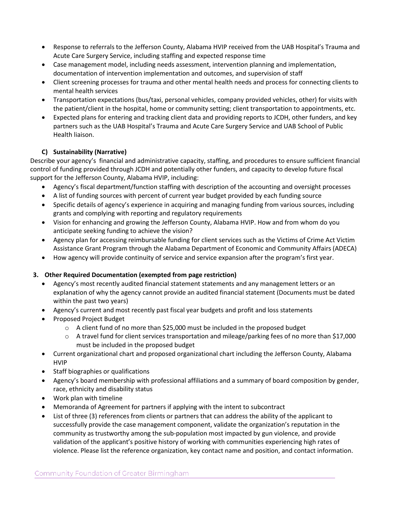- Response to referrals to the Jefferson County, Alabama HVIP received from the UAB Hospital's Trauma and Acute Care Surgery Service, including staffing and expected response time
- Case management model, including needs assessment, intervention planning and implementation, documentation of intervention implementation and outcomes, and supervision of staff
- Client screening processes for trauma and other mental health needs and process for connecting clients to mental health services
- Transportation expectations (bus/taxi, personal vehicles, company provided vehicles, other) for visits with the patient/client in the hospital, home or community setting; client transportation to appointments, etc.
- Expected plans for entering and tracking client data and providing reports to JCDH, other funders, and key partners such as the UAB Hospital's Trauma and Acute Care Surgery Service and UAB School of Public Health liaison.

## **C) Sustainability (Narrative)**

Describe your agency's financial and administrative capacity, staffing, and procedures to ensure sufficient financial control of funding provided through JCDH and potentially other funders, and capacity to develop future fiscal support for the Jefferson County, Alabama HVIP, including:

- Agency's fiscal department/function staffing with description of the accounting and oversight processes
- A list of funding sources with percent of current year budget provided by each funding source
- Specific details of agency's experience in acquiring and managing funding from various sources, including grants and complying with reporting and regulatory requirements
- Vision for enhancing and growing the Jefferson County, Alabama HVIP. How and from whom do you anticipate seeking funding to achieve the vision?
- Agency plan for accessing reimbursable funding for client services such as the Victims of Crime Act Victim Assistance Grant Program through the Alabama Department of Economic and Community Affairs (ADECA)
- How agency will provide continuity of service and service expansion after the program's first year.

### **3. Other Required Documentation (exempted from page restriction)**

- Agency's most recently audited financial statement statements and any management letters or an explanation of why the agency cannot provide an audited financial statement (Documents must be dated within the past two years)
- Agency's current and most recently past fiscal year budgets and profit and loss statements
- Proposed Project Budget
	- o A client fund of no more than \$25,000 must be included in the proposed budget
	- o A travel fund for client services transportation and mileage/parking fees of no more than \$17,000 must be included in the proposed budget
- Current organizational chart and proposed organizational chart including the Jefferson County, Alabama HVIP
- Staff biographies or qualifications
- Agency's board membership with professional affiliations and a summary of board composition by gender, race, ethnicity and disability status
- Work plan with timeline
- Memoranda of Agreement for partners if applying with the intent to subcontract
- List of three (3) references from clients or partners that can address the ability of the applicant to successfully provide the case management component, validate the organization's reputation in the community as trustworthy among the sub-population most impacted by gun violence, and provide validation of the applicant's positive history of working with communities experiencing high rates of violence. Please list the reference organization, key contact name and position, and contact information.